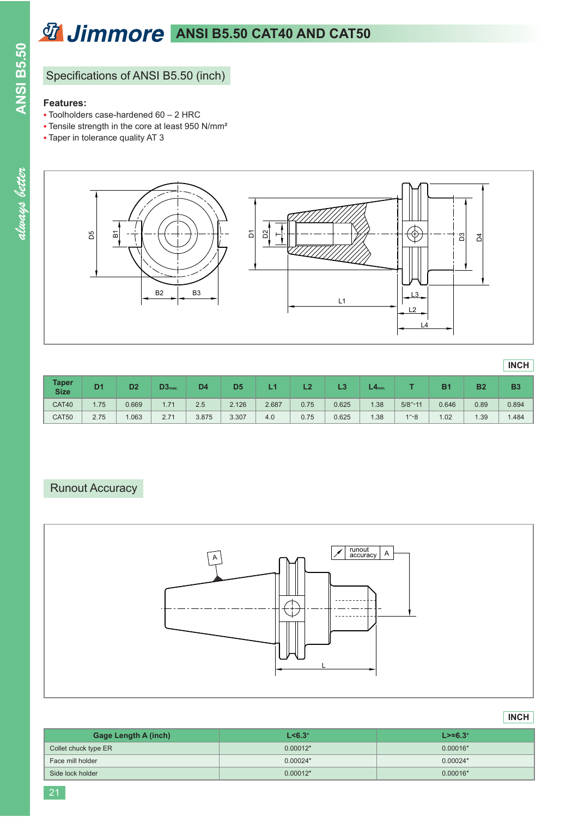# **ANSI B5.50 CAT40 AND CAT50**

# Specifications of ANSI B5.50 (inch)

### **Features:**

- $\bullet$  Toolholders case-hardened 60 2 HRC
- Tensile strength in the core at least 950 N/mm<sup>2</sup>
- Taper in tolerance quality AT 3

**ANSI B5.50**

**ANSI B5.50** 



| <b>Taper</b><br><b>Size</b> | D <sub>1</sub> | D <sub>2</sub> | D3 <sub>max</sub> | D4    | D <sub>5</sub> |       | L2   | L3    | $\mathsf{L4}_\mathsf{min}$ |             | B1    | <b>B2</b> | <b>B3</b> |
|-----------------------------|----------------|----------------|-------------------|-------|----------------|-------|------|-------|----------------------------|-------------|-------|-----------|-----------|
| CAT40                       | .75            | 0.669          | 1.71              | 2.5   | 2.126          | 2.687 | 0.75 | 0.625 | 1.38                       | $5/8" - 11$ | 0.646 | 0.89      | 0.894     |
| CAT50                       | 2.75           | .063           | 2.71              | 3.875 | 3.307          | 4.0   | 0.75 | 0.625 | 1.38                       | $1 - 8$     | 1.02  | .39       | .484      |

## Runout Accuracy



### **INCH**

**INCH**

| <b>Gage Length A (inch)</b> | L < 6.3" | $L > = 6.3"$ |
|-----------------------------|----------|--------------|
| Collet chuck type ER        | 0.00012" | 0.00016"     |
| Face mill holder            | 0.00024" | 0.00024"     |
| Side lock holder            | 0.00012" | 0.00016"     |